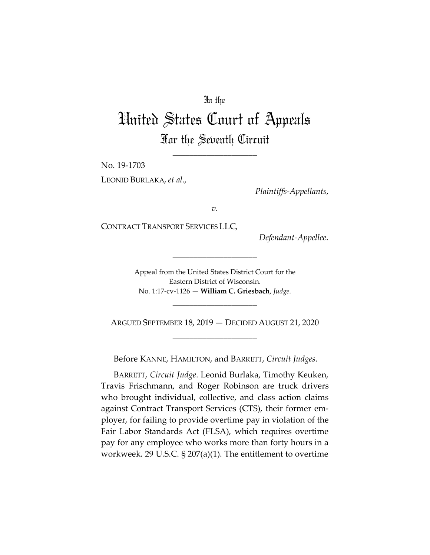## In the

## United States Court of Appeals For the Seventh Circuit

\_\_\_\_\_\_\_\_\_\_\_\_\_\_\_\_\_\_\_\_

No. 19-1703

LEONID BURLAKA, *et al*.,

*Plaintiffs-Appellants*,

*v.*

CONTRACT TRANSPORT SERVICES LLC,

*Defendant-Appellee*.

Appeal from the United States District Court for the Eastern District of Wisconsin. No. 1:17-cv-1126 — **William C. Griesbach**, *Judge*.

\_\_\_\_\_\_\_\_\_\_\_\_\_\_\_\_\_\_\_\_

ARGUED SEPTEMBER 18, 2019 — DECIDED AUGUST 21, 2020 \_\_\_\_\_\_\_\_\_\_\_\_\_\_\_\_\_\_\_\_

\_\_\_\_\_\_\_\_\_\_\_\_\_\_\_\_\_\_\_\_

Before KANNE, HAMILTON, and BARRETT, *Circuit Judges*.

BARRETT, *Circuit Judge*. Leonid Burlaka, Timothy Keuken, Travis Frischmann, and Roger Robinson are truck drivers who brought individual, collective, and class action claims against Contract Transport Services (CTS), their former employer, for failing to provide overtime pay in violation of the Fair Labor Standards Act (FLSA), which requires overtime pay for any employee who works more than forty hours in a workweek. 29 U.S.C. § 207(a)(1). The entitlement to overtime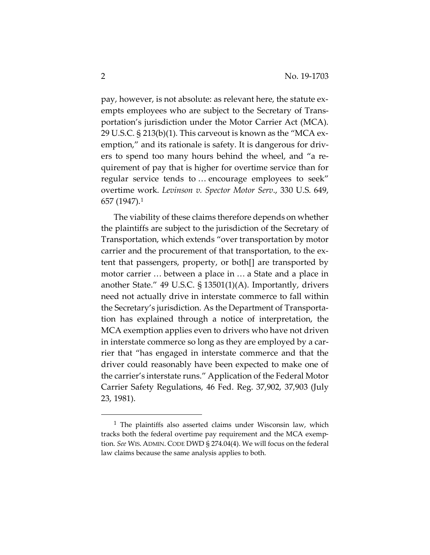pay, however, is not absolute: as relevant here, the statute exempts employees who are subject to the Secretary of Transportation's jurisdiction under the Motor Carrier Act (MCA). 29 U.S.C. § 213(b)(1). This carveout is known as the "MCA exemption," and its rationale is safety. It is dangerous for drivers to spend too many hours behind the wheel, and "a requirement of pay that is higher for overtime service than for regular service tends to … encourage employees to seek" overtime work. *Levinson v. Spector Motor Serv*., 330 U.S. 649, 657 (1947)[.1](#page-1-0)

The viability of these claims therefore depends on whether the plaintiffs are subject to the jurisdiction of the Secretary of Transportation, which extends "over transportation by motor carrier and the procurement of that transportation, to the extent that passengers, property, or both[] are transported by motor carrier … between a place in … a State and a place in another State." 49 U.S.C. § 13501(1)(A). Importantly, drivers need not actually drive in interstate commerce to fall within the Secretary's jurisdiction. As the Department of Transportation has explained through a notice of interpretation, the MCA exemption applies even to drivers who have not driven in interstate commerce so long as they are employed by a carrier that "has engaged in interstate commerce and that the driver could reasonably have been expected to make one of the carrier's interstate runs." Application of the Federal Motor Carrier Safety Regulations, 46 Fed. Reg. 37,902, 37,903 (July 23, 1981).

<span id="page-1-0"></span><sup>&</sup>lt;sup>1</sup> The plaintiffs also asserted claims under Wisconsin law, which tracks both the federal overtime pay requirement and the MCA exemption. *See* WIS. ADMIN. CODE DWD § 274.04(4). We will focus on the federal law claims because the same analysis applies to both.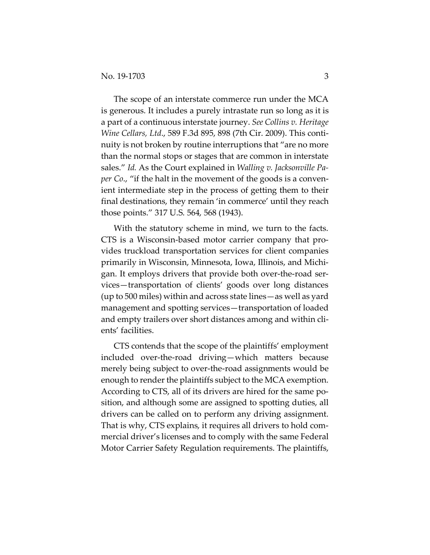The scope of an interstate commerce run under the MCA is generous. It includes a purely intrastate run so long as it is a part of a continuous interstate journey. *See Collins v. Heritage Wine Cellars, Ltd*., 589 F.3d 895, 898 (7th Cir. 2009). This continuity is not broken by routine interruptions that "are no more than the normal stops or stages that are common in interstate sales." *Id.* As the Court explained in *Walling v. Jacksonville Paper Co*., "if the halt in the movement of the goods is a convenient intermediate step in the process of getting them to their final destinations, they remain 'in commerce' until they reach those points." 317 U.S. 564, 568 (1943).

With the statutory scheme in mind, we turn to the facts. CTS is a Wisconsin-based motor carrier company that provides truckload transportation services for client companies primarily in Wisconsin, Minnesota, Iowa, Illinois, and Michigan. It employs drivers that provide both over-the-road services—transportation of clients' goods over long distances (up to 500 miles) within and across state lines—as well as yard management and spotting services—transportation of loaded and empty trailers over short distances among and within clients' facilities.

CTS contends that the scope of the plaintiffs' employment included over-the-road driving—which matters because merely being subject to over-the-road assignments would be enough to render the plaintiffs subject to the MCA exemption. According to CTS, all of its drivers are hired for the same position, and although some are assigned to spotting duties, all drivers can be called on to perform any driving assignment. That is why, CTS explains, it requires all drivers to hold commercial driver's licenses and to comply with the same Federal Motor Carrier Safety Regulation requirements. The plaintiffs,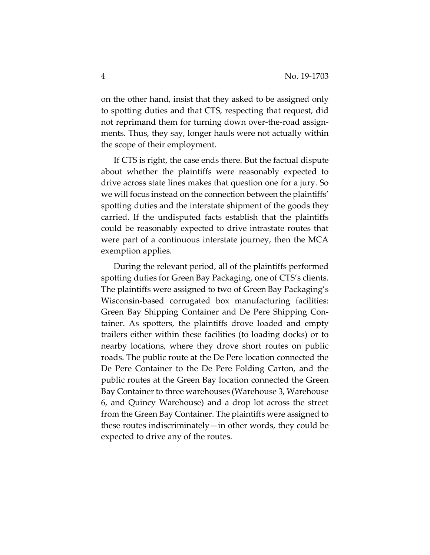on the other hand, insist that they asked to be assigned only to spotting duties and that CTS, respecting that request, did not reprimand them for turning down over-the-road assignments. Thus, they say, longer hauls were not actually within the scope of their employment.

If CTS is right, the case ends there. But the factual dispute about whether the plaintiffs were reasonably expected to drive across state lines makes that question one for a jury. So we will focus instead on the connection between the plaintiffs' spotting duties and the interstate shipment of the goods they carried. If the undisputed facts establish that the plaintiffs could be reasonably expected to drive intrastate routes that were part of a continuous interstate journey, then the MCA exemption applies.

During the relevant period, all of the plaintiffs performed spotting duties for Green Bay Packaging, one of CTS's clients. The plaintiffs were assigned to two of Green Bay Packaging's Wisconsin-based corrugated box manufacturing facilities: Green Bay Shipping Container and De Pere Shipping Container. As spotters, the plaintiffs drove loaded and empty trailers either within these facilities (to loading docks) or to nearby locations, where they drove short routes on public roads. The public route at the De Pere location connected the De Pere Container to the De Pere Folding Carton, and the public routes at the Green Bay location connected the Green Bay Container to three warehouses (Warehouse 3, Warehouse 6, and Quincy Warehouse) and a drop lot across the street from the Green Bay Container. The plaintiffs were assigned to these routes indiscriminately—in other words, they could be expected to drive any of the routes.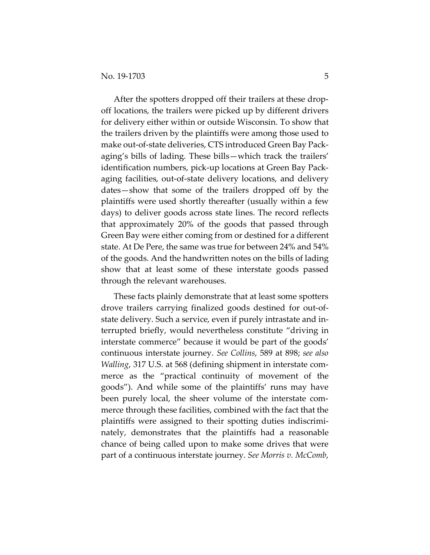After the spotters dropped off their trailers at these dropoff locations, the trailers were picked up by different drivers for delivery either within or outside Wisconsin. To show that the trailers driven by the plaintiffs were among those used to make out-of-state deliveries, CTS introduced Green Bay Packaging's bills of lading. These bills—which track the trailers' identification numbers, pick-up locations at Green Bay Packaging facilities, out-of-state delivery locations, and delivery dates—show that some of the trailers dropped off by the plaintiffs were used shortly thereafter (usually within a few days) to deliver goods across state lines. The record reflects that approximately 20% of the goods that passed through Green Bay were either coming from or destined for a different state. At De Pere, the same was true for between 24% and 54% of the goods. And the handwritten notes on the bills of lading show that at least some of these interstate goods passed through the relevant warehouses.

These facts plainly demonstrate that at least some spotters drove trailers carrying finalized goods destined for out-ofstate delivery. Such a service, even if purely intrastate and interrupted briefly, would nevertheless constitute "driving in interstate commerce" because it would be part of the goods' continuous interstate journey. *See Collins*, 589 at 898; *see also Walling*, 317 U.S. at 568 (defining shipment in interstate commerce as the "practical continuity of movement of the goods"). And while some of the plaintiffs' runs may have been purely local, the sheer volume of the interstate commerce through these facilities, combined with the fact that the plaintiffs were assigned to their spotting duties indiscriminately, demonstrates that the plaintiffs had a reasonable chance of being called upon to make some drives that were part of a continuous interstate journey. *See Morris v. McComb*,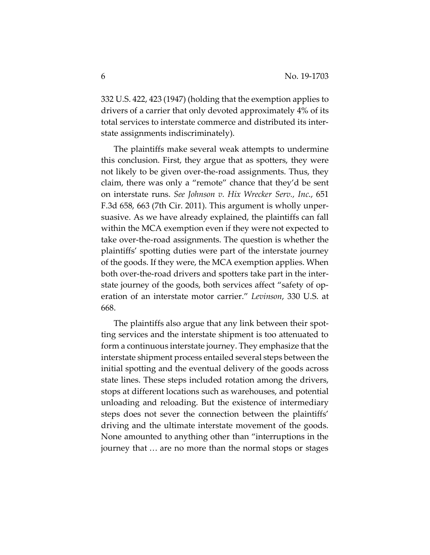332 U.S. 422, 423 (1947) (holding that the exemption applies to drivers of a carrier that only devoted approximately 4% of its total services to interstate commerce and distributed its interstate assignments indiscriminately).

The plaintiffs make several weak attempts to undermine this conclusion. First, they argue that as spotters, they were not likely to be given over-the-road assignments. Thus, they claim, there was only a "remote" chance that they'd be sent on interstate runs. *See Johnson v. Hix Wrecker Serv., Inc*., 651 F.3d 658, 663 (7th Cir. 2011). This argument is wholly unpersuasive. As we have already explained, the plaintiffs can fall within the MCA exemption even if they were not expected to take over-the-road assignments. The question is whether the plaintiffs' spotting duties were part of the interstate journey of the goods. If they were, the MCA exemption applies. When both over-the-road drivers and spotters take part in the interstate journey of the goods, both services affect "safety of operation of an interstate motor carrier." *Levinson*, 330 U.S. at 668.

The plaintiffs also argue that any link between their spotting services and the interstate shipment is too attenuated to form a continuous interstate journey. They emphasize that the interstate shipment process entailed several steps between the initial spotting and the eventual delivery of the goods across state lines. These steps included rotation among the drivers, stops at different locations such as warehouses, and potential unloading and reloading. But the existence of intermediary steps does not sever the connection between the plaintiffs' driving and the ultimate interstate movement of the goods. None amounted to anything other than "interruptions in the journey that … are no more than the normal stops or stages